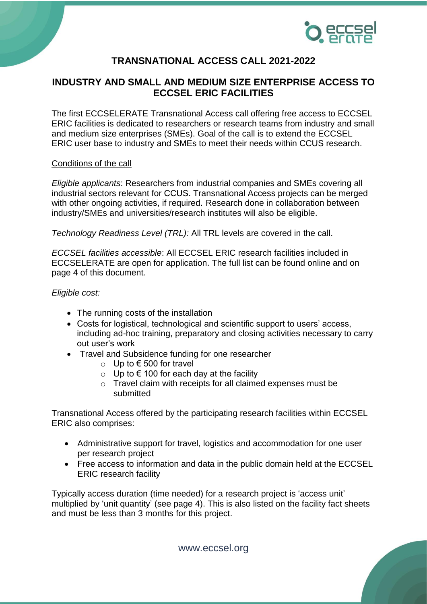

# **TRANSNATIONAL ACCESS CALL 2021-2022**

## **INDUSTRY AND SMALL AND MEDIUM SIZE ENTERPRISE ACCESS TO ECCSEL ERIC FACILITIES**

The first ECCSELERATE Transnational Access call offering free access to ECCSEL ERIC facilities is dedicated to researchers or research teams from industry and small and medium size enterprises (SMEs). Goal of the call is to extend the ECCSEL ERIC user base to industry and SMEs to meet their needs within CCUS research.

#### Conditions of the call

*Eligible applicants*: Researchers from industrial companies and SMEs covering all industrial sectors relevant for CCUS. Transnational Access projects can be merged with other ongoing activities, if required. Research done in collaboration between industry/SMEs and universities/research institutes will also be eligible.

*Technology Readiness Level (TRL):* All TRL levels are covered in the call.

*ECCSEL facilities accessible*: All ECCSEL ERIC research facilities included in ECCSELERATE are open for application. The full list can be found online and on page 4 of this document.

#### *Eligible cost:*

- The running costs of the installation
- Costs for logistical, technological and scientific support to users' access, including ad-hoc training, preparatory and closing activities necessary to carry out user's work
- Travel and Subsidence funding for one researcher
	- o Up to € 500 for travel
	- o Up to € 100 for each day at the facility
	- o Travel claim with receipts for all claimed expenses must be submitted

Transnational Access offered by the participating research facilities within ECCSEL ERIC also comprises:

- Administrative support for travel, logistics and accommodation for one user per research project
- Free access to information and data in the public domain held at the ECCSEL ERIC research facility

Typically access duration (time needed) for a research project is 'access unit' multiplied by 'unit quantity' (see page 4). This is also listed on the facility fact sheets and must be less than 3 months for this project.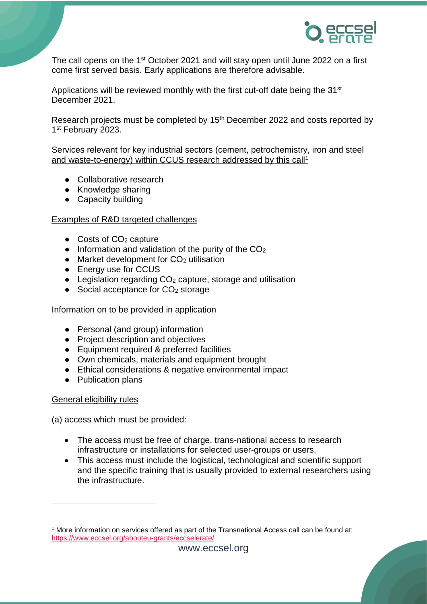

The call opens on the 1<sup>st</sup> October 2021 and will stay open until June 2022 on a first come first served basis. Early applications are therefore advisable.

Applications will be reviewed monthly with the first cut-off date being the 31<sup>st</sup> December 2021.

Research projects must be completed by 15<sup>th</sup> December 2022 and costs reported by 1<sup>st</sup> February 2023.

Services relevant for key industrial sectors (cement, petrochemistry, iron and steel and waste-to-energy) within CCUS research addressed by this call<sup>1</sup>

- Collaborative research
- Knowledge sharing
- Capacity building

### Examples of R&D targeted challenges

- $\bullet$  Costs of CO<sub>2</sub> capture
- $\bullet$  Information and validation of the purity of the CO<sub>2</sub>
- Market development for CO<sub>2</sub> utilisation
- Energy use for CCUS
- $\bullet$  Legislation regarding  $CO<sub>2</sub>$  capture, storage and utilisation
- $\bullet$  Social acceptance for  $CO<sub>2</sub>$  storage

#### Information on to be provided in application

- Personal (and group) information
- Project description and objectives
- Equipment required & preferred facilities
- Own chemicals, materials and equipment brought
- Ethical considerations & negative environmental impact
- Publication plans

#### General eligibility rules

-

(a) access which must be provided:

- The access must be free of charge, trans-national access to research infrastructure or installations for selected user-groups or users.
- This access must include the logistical, technological and scientific support and the specific training that is usually provided to external researchers using the infrastructure.

<sup>1</sup> More information on services offered as part of the Transnational Access call can be found at: <https://www.eccsel.org/abouteu-grants/eccselerate/>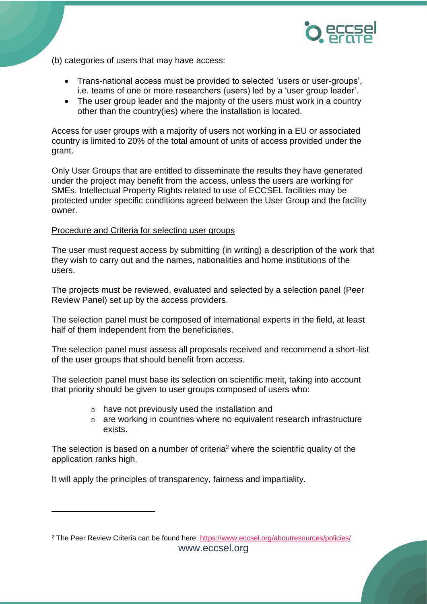

- (b) categories of users that may have access:
	- Trans-national access must be provided to selected 'users or user-groups', i.e. teams of one or more researchers (users) led by a 'user group leader'.
	- The user group leader and the majority of the users must work in a country other than the country(ies) where the installation is located.

Access for user groups with a majority of users not working in a EU or associated country is limited to 20% of the total amount of units of access provided under the grant.

Only User Groups that are entitled to disseminate the results they have generated under the project may benefit from the access, unless the users are working for SMEs. Intellectual Property Rights related to use of ECCSEL facilities may be protected under specific conditions agreed between the User Group and the facility owner.

#### Procedure and Criteria for selecting user groups

The user must request access by submitting (in writing) a description of the work that they wish to carry out and the names, nationalities and home institutions of the users.

The projects must be reviewed, evaluated and selected by a selection panel (Peer Review Panel) set up by the access providers.

The selection panel must be composed of international experts in the field, at least half of them independent from the beneficiaries.

The selection panel must assess all proposals received and recommend a short-list of the user groups that should benefit from access.

The selection panel must base its selection on scientific merit, taking into account that priority should be given to user groups composed of users who:

- o have not previously used the installation and
- o are working in countries where no equivalent research infrastructure exists.

The selection is based on [a number of criteria](http://www.eccsel.org/Sections.aspx?section=554.561)<sup>2</sup> where the scientific quality of the application ranks high.

It will apply the principles of transparency, fairness and impartiality.

 $\overline{a}$ 

www.eccsel.org <sup>2</sup> The Peer Review Criteria can be found here:<https://www.eccsel.org/aboutresources/policies/>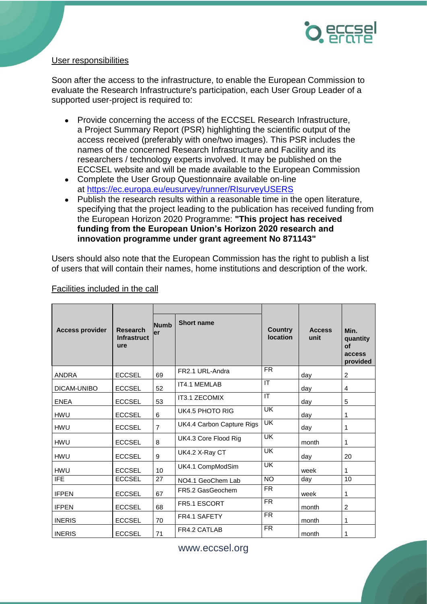

### User responsibilities

Soon after the access to the infrastructure, to enable the European Commission to evaluate the Research Infrastructure's participation, each User Group Leader of a supported user-project is required to:

- Provide concerning the access of the ECCSEL Research Infrastructure, a Project Summary Report (PSR) highlighting the scientific output of the access received (preferably with one/two images). This PSR includes the names of the concerned Research Infrastructure and Facility and its researchers / technology experts involved. It may be published on the ECCSEL website and will be made available to the European Commission
- Complete the User Group Questionnaire available on-line at <https://ec.europa.eu/eusurvey/runner/RIsurveyUSERS>
- Publish the research results within a reasonable time in the open literature, specifying that the project leading to the publication has received funding from the European Horizon 2020 Programme: **"This project has received funding from the European Union's Horizon 2020 research and innovation programme under grant agreement No 871143"**

Users should also note that the European Commission has the right to publish a list of users that will contain their names, home institutions and description of the work.

| <b>Access provider</b> | <b>Research</b><br><b>Infrastruct</b><br>ure | <b>Numb</b><br>ler | <b>Short name</b>         | <b>Country</b><br>location | <b>Access</b><br>unit | Min.<br>quantity<br>$\mathbf{f}$<br>access<br>provided |
|------------------------|----------------------------------------------|--------------------|---------------------------|----------------------------|-----------------------|--------------------------------------------------------|
| <b>ANDRA</b>           | <b>ECCSEL</b>                                | 69                 | FR2.1 URL-Andra           | <b>FR</b>                  | day                   | 2                                                      |
| DICAM-UNIBO            | <b>ECCSEL</b>                                | 52                 | IT4.1 MEMLAB              | $\overline{\mathsf{T}}$    | day                   | 4                                                      |
| <b>ENEA</b>            | <b>ECCSEL</b>                                | 53                 | IT3.1 ZECOMIX             | IT                         | day                   | 5                                                      |
| <b>HWU</b>             | <b>ECCSEL</b>                                | 6                  | <b>UK4.5 PHOTO RIG</b>    | <b>UK</b>                  | day                   | 1                                                      |
| <b>HWU</b>             | <b>ECCSEL</b>                                | $\overline{7}$     | UK4.4 Carbon Capture Rigs | UK                         | day                   | 1                                                      |
| <b>HWU</b>             | <b>ECCSEL</b>                                | 8                  | UK4.3 Core Flood Rig      | <b>UK</b>                  | month                 | 1                                                      |
| <b>HWU</b>             | <b>ECCSEL</b>                                | 9                  | UK4.2 X-Ray CT            | <b>UK</b>                  | day                   | 20                                                     |
| <b>HWU</b>             | <b>ECCSEL</b>                                | 10                 | UK4.1 CompModSim          | <b>UK</b>                  | week                  | 1                                                      |
| <b>IFE</b>             | <b>ECCSEL</b>                                | 27                 | NO4.1 GeoChem Lab         | <b>NO</b>                  | day                   | 10                                                     |
| <b>IFPEN</b>           | <b>ECCSEL</b>                                | 67                 | FR5.2 GasGeochem          | <b>FR</b>                  | week                  | 1                                                      |
| <b>IFPEN</b>           | <b>ECCSEL</b>                                | 68                 | FR5.1 ESCORT              | <b>FR</b>                  | month                 | 2                                                      |
| <b>INERIS</b>          | <b>ECCSEL</b>                                | 70                 | FR4.1 SAFETY              | $\overline{FR}$            | month                 | 1                                                      |
| <b>INERIS</b>          | <b>ECCSEL</b>                                | 71                 | FR4.2 CATLAB              | <b>FR</b>                  | month                 | 1                                                      |

### Facilities included in the call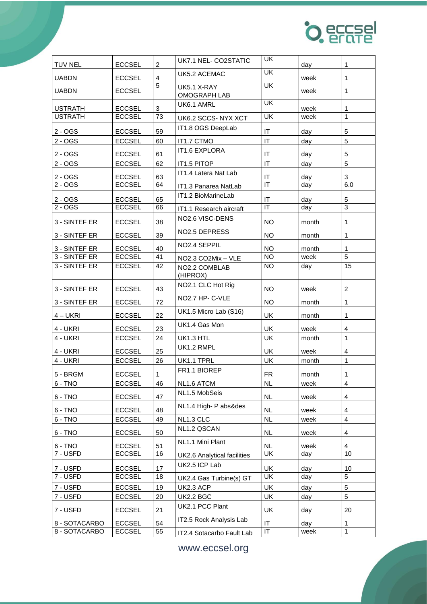

| <b>TUV NEL</b>                 | <b>ECCSEL</b>                  | $\overline{c}$ | UK7.1 NEL- CO2STATIC                       | UK                                      | day         | $\mathbf{1}$        |
|--------------------------------|--------------------------------|----------------|--------------------------------------------|-----------------------------------------|-------------|---------------------|
| <b>UABDN</b>                   | <b>ECCSEL</b>                  | $\overline{4}$ | UK5.2 ACEMAC                               | $\overline{\mathsf{U}\mathsf{K}}$       | week        | 1                   |
| <b>UABDN</b>                   | <b>ECCSEL</b>                  | 5              | UK5.1 X-RAY<br><b>OMOGRAPH LAB</b>         | UK                                      | week        | 1                   |
| <b>USTRATH</b>                 | <b>ECCSEL</b>                  | $\mathbf{3}$   | UK6.1 AMRL                                 | $\overline{\mathsf{U}}$ K               | week        | 1                   |
| <b>USTRATH</b>                 | <b>ECCSEL</b>                  | 73             | UK6.2 SCCS-NYX XCT                         | UK                                      | week        | $\mathbf{1}$        |
| $2 - OGS$                      | <b>ECCSEL</b>                  | 59             | IT1.8 OGS DeepLab                          | IT                                      | day         | 5                   |
| $2 - OGS$                      | <b>ECCSEL</b>                  | 60             | IT1.7 CTMO                                 | IT                                      | day         | 5                   |
| $2 - OGS$                      | <b>ECCSEL</b>                  | 61             | <b>IT1.6 EXPLORA</b>                       | IT                                      | day         | 5                   |
| $2 - OGS$                      | <b>ECCSEL</b>                  | 62             | IT1.5 PITOP                                | IT                                      | day         | 5                   |
| 2 - OGS                        | <b>ECCSEL</b>                  | 63             | IT1.4 Latera Nat Lab                       | IT                                      | day         | 3                   |
| $2 - OGS$                      | <b>ECCSEL</b>                  | 64             | IT1.3 Panarea NatLab                       | IT                                      | day         | 6.0                 |
|                                |                                |                | IT1.2 BioMarineLab                         |                                         |             |                     |
| $2 - OGS$<br>$2 - OGS$         | <b>ECCSEL</b><br><b>ECCSEL</b> | 65<br>66       |                                            | IT<br>$\overline{\mathsf{I}\mathsf{T}}$ | day<br>day  | 5<br>$\overline{3}$ |
|                                |                                |                | IT1.1 Research aircraft<br>NO2.6 VISC-DENS |                                         |             |                     |
| 3 - SINTEF ER                  | <b>ECCSEL</b>                  | 38             |                                            | <b>NO</b>                               | month       | 1                   |
| 3 - SINTEF ER                  | <b>ECCSEL</b>                  | 39             | NO <sub>2.5</sub> DEPRESS                  | <b>NO</b>                               | month       | 1                   |
| 3 - SINTEF ER                  | <b>ECCSEL</b>                  | 40             | NO <sub>2.4</sub> SEPPIL                   | <b>NO</b>                               | month       | 1                   |
| 3 - SINTEF ER                  | <b>ECCSEL</b>                  | 41             | NO2.3 CO2Mix - VLE                         | <b>NO</b>                               | week        | 5                   |
| 3 - SINTEF ER                  | <b>ECCSEL</b>                  | 42             | NO2.2 COMBLAB<br>(HIPROX)                  | <b>NO</b>                               | day         | 15                  |
| 3 - SINTEF ER                  | <b>ECCSEL</b>                  | 43             | NO2.1 CLC Hot Rig                          | <b>NO</b>                               | week        | $\overline{2}$      |
| 3 - SINTEF ER                  | <b>ECCSEL</b>                  | 72             | NO2.7 HP- C-VLE                            | <b>NO</b>                               | month       | 1                   |
| $4 - UKRI$                     | <b>ECCSEL</b>                  | 22             | UK1.5 Micro Lab (S16)                      | UK                                      | month       | 1                   |
| 4 - UKRI                       | <b>ECCSEL</b>                  | 23             | UK1.4 Gas Mon                              | UK                                      | week        | 4                   |
| 4 - UKRI                       | <b>ECCSEL</b>                  | 24             | UK1.3 HTL                                  | <b>UK</b>                               | month       | $\mathbf{1}$        |
| 4 - UKRI                       | <b>ECCSEL</b>                  | 25             | UK1.2 RMPL                                 | <b>UK</b>                               | week        | 4                   |
| 4 - UKRI                       | <b>ECCSEL</b>                  | 26             | UK1.1 TPRL                                 | UK                                      | month       | 1                   |
| 5 - BRGM                       | <b>ECCSEL</b>                  | $\mathbf{1}$   | FR1.1 BIOREP                               | <b>FR</b>                               | month       | $\mathbf{1}$        |
| $6 - TNO$                      | <b>ECCSEL</b>                  | 46             | NL1.6 ATCM                                 | <b>NL</b>                               | week        | 4                   |
| $6 - TNO$                      | <b>ECCSEL</b>                  | 47             | NL1.5 MobSeis                              | NL.                                     | week        | 4                   |
| $6 - TNO$                      | <b>ECCSEL</b>                  | 48             | NL1.4 High- P abs&des                      | <b>NL</b>                               | week        | 4                   |
| 6 - TNO                        | <b>ECCSEL</b>                  | 49             | NL1.3 CLC                                  | <b>NL</b>                               | week        | $\overline{4}$      |
| $6 - TNO$                      | <b>ECCSEL</b>                  | 50             | NL1.2 QSCAN                                | NL                                      | week        | 4                   |
| $6 - TNO$                      | <b>ECCSEL</b>                  | 51             | NL1.1 Mini Plant                           | NL.                                     | week        | 4                   |
| 7 - USFD                       | <b>ECCSEL</b>                  | 16             | UK2.6 Analytical facilities                | UK                                      | day         | 10                  |
| 7 - USFD                       | <b>ECCSEL</b>                  | 17             | UK2.5 ICP Lab                              | UK                                      |             |                     |
| 7 - USFD                       | <b>ECCSEL</b>                  | 18             | UK2.4 Gas Turbine(s) GT                    | UK                                      | day<br>day  | 10<br>5             |
| 7 - USFD                       | <b>ECCSEL</b>                  | 19             | UK2.3 ACP                                  | UK                                      | day         | 5                   |
| 7 - USFD                       | <b>ECCSEL</b>                  | 20             | UK2.2 BGC                                  | UK                                      | day         | 5                   |
| 7 - USFD                       | <b>ECCSEL</b>                  | 21             | UK2.1 PCC Plant                            | UK                                      | day         | 20                  |
|                                | <b>ECCSEL</b>                  | 54             | IT2.5 Rock Analysis Lab                    | IT                                      |             |                     |
| 8 - SOTACARBO<br>8 - SOTACARBO | <b>ECCSEL</b>                  | 55             | IT2.4 Sotacarbo Fault Lab                  | IT                                      | day<br>week | 1<br>$\mathbf{1}$   |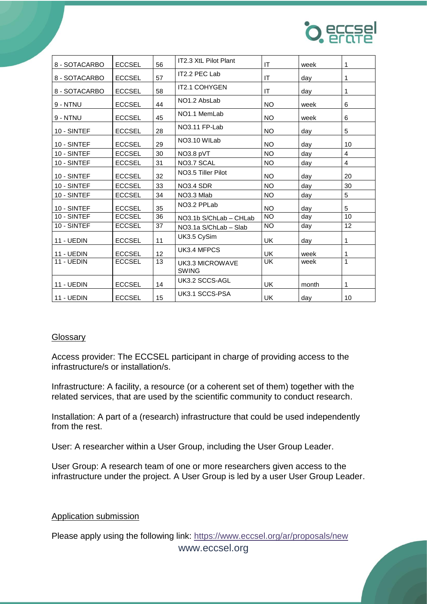

| 8 - SOTACARBO     | <b>ECCSEL</b> | 56 | IT2.3 XtL Pilot Plant           | <b>IT</b> | week  | 1  |
|-------------------|---------------|----|---------------------------------|-----------|-------|----|
| 8 - SOTACARBO     | <b>ECCSEL</b> | 57 | IT2.2 PEC Lab                   | IT        | day   | 1  |
| 8 - SOTACARBO     | <b>ECCSEL</b> | 58 | IT2.1 COHYGEN                   | IT        | day   | 1  |
| 9 - NTNU          | <b>ECCSEL</b> | 44 | NO <sub>1.2</sub> AbsLab        | <b>NO</b> | week  | 6  |
| 9 - NTNU          | <b>ECCSEL</b> | 45 | NO <sub>1.1</sub> MemLab        | <b>NO</b> | week  | 6  |
| 10 - SINTEF       | <b>ECCSEL</b> | 28 | NO3.11 FP-Lab                   | <b>NO</b> | day   | 5  |
| 10 - SINTEF       | <b>ECCSEL</b> | 29 | NO3.10 WILab                    | <b>NO</b> | day   | 10 |
| 10 - SINTEF       | <b>ECCSEL</b> | 30 | NO3.8 pVT                       | <b>NO</b> | day   | 4  |
| 10 - SINTEF       | <b>ECCSEL</b> | 31 | NO3.7 SCAL                      | <b>NO</b> | day   | 4  |
| 10 - SINTEF       | <b>ECCSEL</b> | 32 | NO3.5 Tiller Pilot              | <b>NO</b> | day   | 20 |
| 10 - SINTEF       | <b>ECCSEL</b> | 33 | NO3.4 SDR                       | <b>NO</b> | day   | 30 |
| 10 - SINTEF       | <b>ECCSEL</b> | 34 | NO3.3 Mlab                      | <b>NO</b> | day   | 5  |
| 10 - SINTEF       | <b>ECCSEL</b> | 35 | NO3.2 PPLab                     | <b>NO</b> | day   | 5  |
| 10 - SINTEF       | <b>ECCSEL</b> | 36 | NO3.1b S/ChLab - CHLab          | <b>NO</b> | day   | 10 |
| 10 - SINTEF       | <b>ECCSEL</b> | 37 | NO3.1a S/ChLab - Slab           | <b>NO</b> | day   | 12 |
| 11 - UEDIN        | <b>ECCSEL</b> | 11 | UK3.5 CySim                     | UK        | day   | 1  |
| 11 - UEDIN        | <b>ECCSEL</b> | 12 | UK3.4 MFPCS                     | <b>UK</b> | week  | 1  |
| 11 - UEDIN        | <b>ECCSEL</b> | 13 | UK3.3 MICROWAVE<br><b>SWING</b> | <b>UK</b> | week  | 1  |
| 11 - UEDIN        | <b>ECCSEL</b> | 14 | UK3.2 SCCS-AGL                  | <b>UK</b> | month | 1  |
| <b>11 - UEDIN</b> | <b>ECCSEL</b> | 15 | UK3.1 SCCS-PSA                  | <b>UK</b> | day   | 10 |

#### **Glossary**

Access provider: The ECCSEL participant in charge of providing access to the infrastructure/s or installation/s.

Infrastructure: A facility, a resource (or a coherent set of them) together with the related services, that are used by the scientific community to conduct research.

Installation: A part of a (research) infrastructure that could be used independently from the rest.

User: A researcher within a User Group, including the User Group Leader.

User Group: A research team of one or more researchers given access to the infrastructure under the project. A User Group is led by a user User Group Leader.

Application submission

Please apply using the following link: <https://www.eccsel.org/ar/proposals/new>